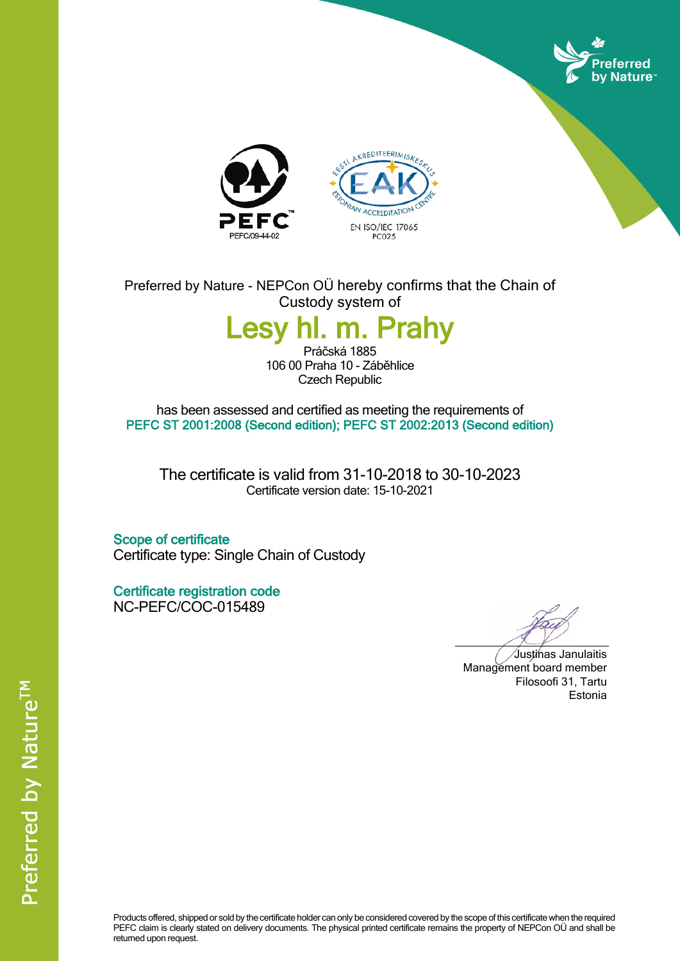





Preferred by Nature - NEPCon OÜ hereby confirms that the Chain of Custody system of

## **Lesy hl. m. Prahy**

Práčská 1885 106 00 Praha 10 - Záběhlice Czech Republic

has been assessed and certified as meeting the requirements of **PEFC ST 2001:2008 (Second edition); PEFC ST 2002:2013 (Second edition)**

The certificate is valid from 31-10-2018 to 30-10-2023 Certificate version date: 15-10-2021

**Scope of certificate** Certificate type: Single Chain of Custody

**Certificate registration code** NC-PEFC/COC-015489

Justinas Janulaitis Management board member Filosoofi 31, Tartu Estonia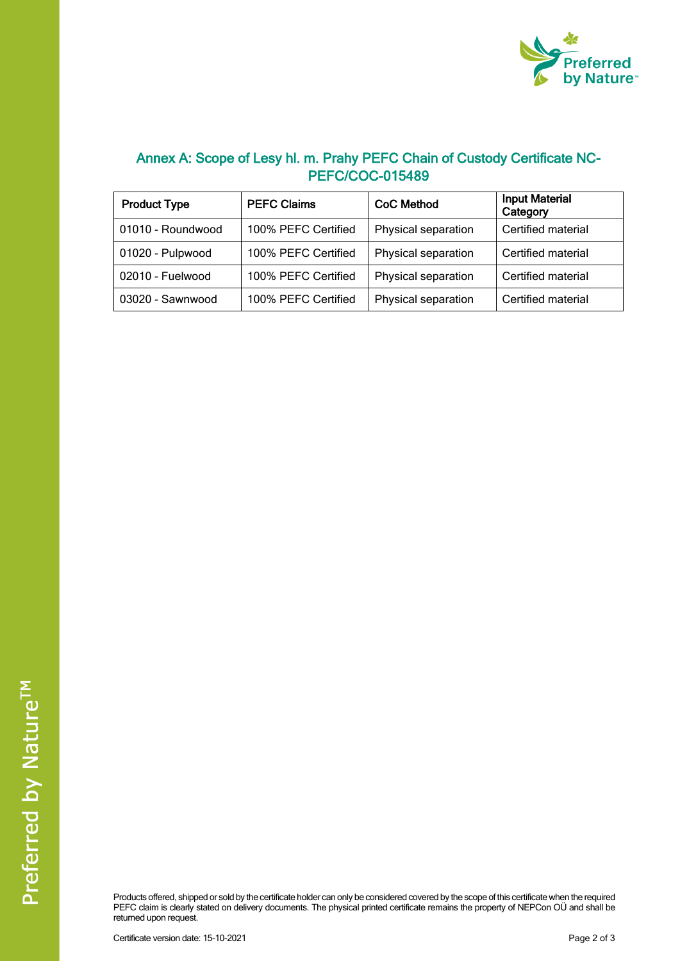

## **Annex A: Scope of Lesy hl. m. Prahy PEFC Chain of Custody Certificate NC-PEFC/COC-015489**

| <b>Product Type</b> | <b>PEFC Claims</b>  | <b>CoC Method</b>   | <b>Input Material</b><br>Category |
|---------------------|---------------------|---------------------|-----------------------------------|
| 01010 - Roundwood   | 100% PEFC Certified | Physical separation | Certified material                |
| 01020 - Pulpwood    | 100% PEFC Certified | Physical separation | Certified material                |
| 02010 - Fuelwood    | 100% PEFC Certified | Physical separation | Certified material                |
| 03020 - Sawnwood    | 100% PEFC Certified | Physical separation | Certified material                |

Products offered, shipped or sold by the certificate holder can only be considered covered by the scope of this certificate when the required PEFC claim is clearly stated on delivery documents. The physical printed certificate remains the property of NEPCon OÜ and shall be returned upon request.